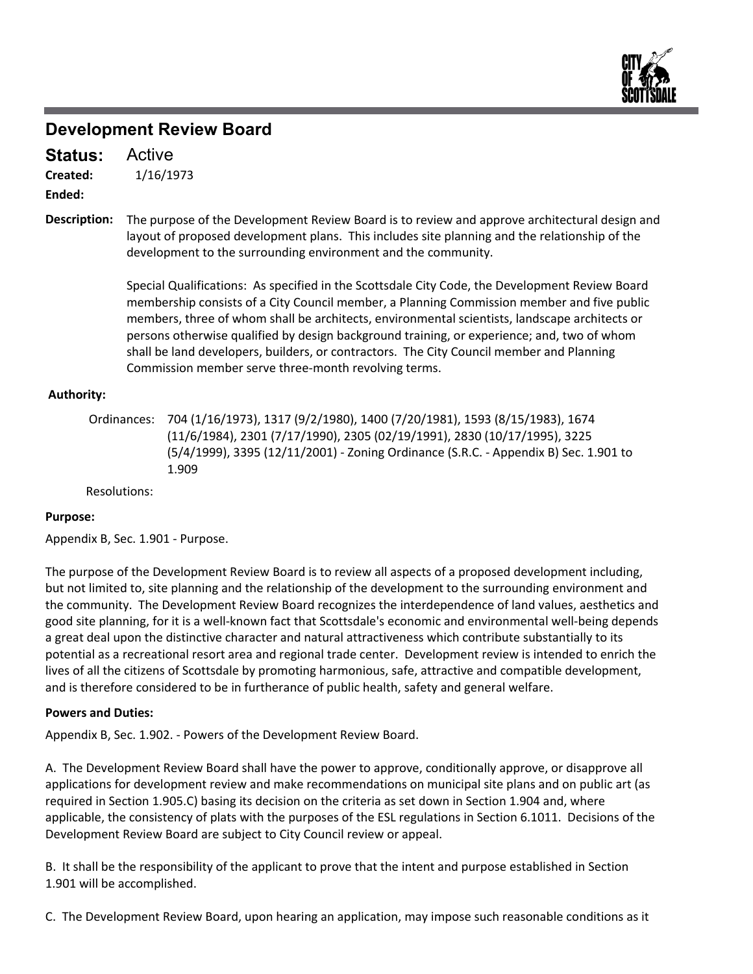

### **Development Review Board**

1/16/1973 **Created:** Active **Status:**

**Ended:**

The purpose of the Development Review Board is to review and approve architectural design and layout of proposed development plans. This includes site planning and the relationship of the development to the surrounding environment and the community. **Description:**

> Special Qualifications: As specified in the Scottsdale City Code, the Development Review Board membership consists of a City Council member, a Planning Commission member and five public members, three of whom shall be architects, environmental scientists, landscape architects or persons otherwise qualified by design background training, or experience; and, two of whom shall be land developers, builders, or contractors. The City Council member and Planning Commission member serve three‐month revolving terms.

#### **Authority:**

Ordinances: 704 (1/16/1973), 1317 (9/2/1980), 1400 (7/20/1981), 1593 (8/15/1983), 1674 (11/6/1984), 2301 (7/17/1990), 2305 (02/19/1991), 2830 (10/17/1995), 3225 (5/4/1999), 3395 (12/11/2001) ‐ Zoning Ordinance (S.R.C. ‐ Appendix B) Sec. 1.901 to 1.909

Resolutions:

#### **Purpose:**

Appendix B, Sec. 1.901 ‐ Purpose.

The purpose of the Development Review Board is to review all aspects of a proposed development including, but not limited to, site planning and the relationship of the development to the surrounding environment and the community. The Development Review Board recognizes the interdependence of land values, aesthetics and good site planning, for it is a well-known fact that Scottsdale's economic and environmental well-being depends a great deal upon the distinctive character and natural attractiveness which contribute substantially to its potential as a recreational resort area and regional trade center. Development review is intended to enrich the lives of all the citizens of Scottsdale by promoting harmonious, safe, attractive and compatible development, and is therefore considered to be in furtherance of public health, safety and general welfare.

#### **Powers and Duties:**

Appendix B, Sec. 1.902. ‐ Powers of the Development Review Board.

A. The Development Review Board shall have the power to approve, conditionally approve, or disapprove all applications for development review and make recommendations on municipal site plans and on public art (as required in Section 1.905.C) basing its decision on the criteria as set down in Section 1.904 and, where applicable, the consistency of plats with the purposes of the ESL regulations in Section 6.1011. Decisions of the Development Review Board are subject to City Council review or appeal.

B. It shall be the responsibility of the applicant to prove that the intent and purpose established in Section 1.901 will be accomplished.

C. The Development Review Board, upon hearing an application, may impose such reasonable conditions as it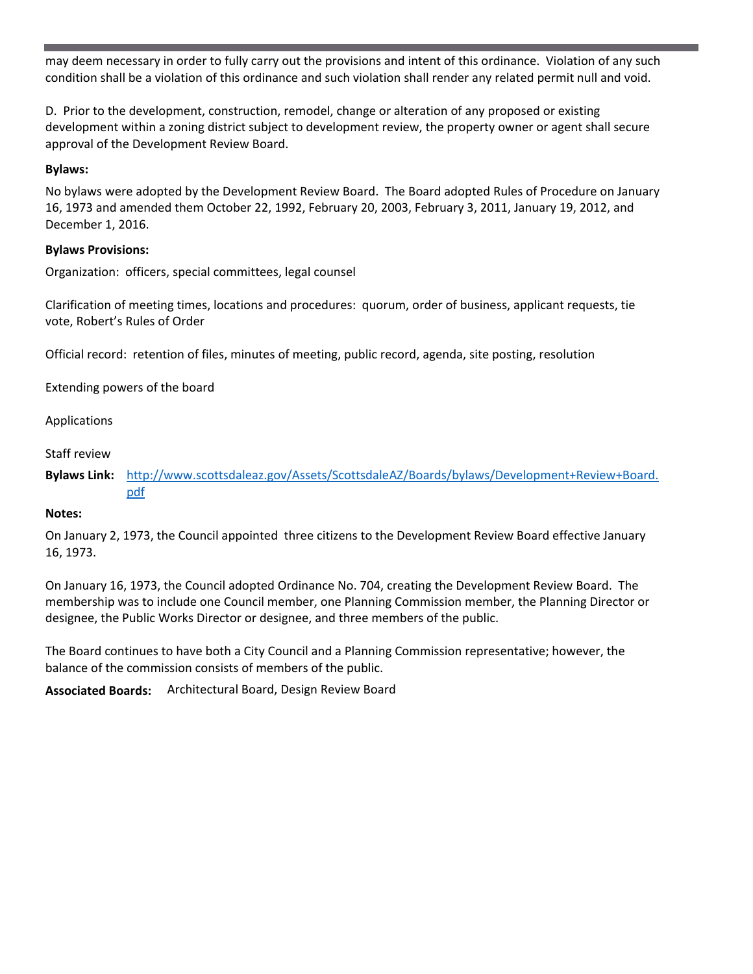may deem necessary in order to fully carry out the provisions and intent of this ordinance. Violation of any such condition shall be a violation of this ordinance and such violation shall render any related permit null and void.

D. Prior to the development, construction, remodel, change or alteration of any proposed or existing development within a zoning district subject to development review, the property owner or agent shall secure approval of the Development Review Board.

#### **Bylaws:**

No bylaws were adopted by the Development Review Board. The Board adopted Rules of Procedure on January 16, 1973 and amended them October 22, 1992, February 20, 2003, February 3, 2011, January 19, 2012, and December 1, 2016.

#### **Bylaws Provisions:**

Organization: officers, special committees, legal counsel

Clarification of meeting times, locations and procedures: quorum, order of business, applicant requests, tie vote, Robert's Rules of Order

Official record: retention of files, minutes of meeting, public record, agenda, site posting, resolution

Extending powers of the board

Applications

Staff review

**Bylaws Link:** http://www.scottsdaleaz.gov/Assets/ScottsdaleAZ/Boards/bylaws/Development+Review+Board. pdf

#### **Notes:**

On January 2, 1973, the Council appointed three citizens to the Development Review Board effective January 16, 1973.

On January 16, 1973, the Council adopted Ordinance No. 704, creating the Development Review Board. The membership was to include one Council member, one Planning Commission member, the Planning Director or designee, the Public Works Director or designee, and three members of the public.

The Board continues to have both a City Council and a Planning Commission representative; however, the balance of the commission consists of members of the public.

**Associated Boards:** Architectural Board, Design Review Board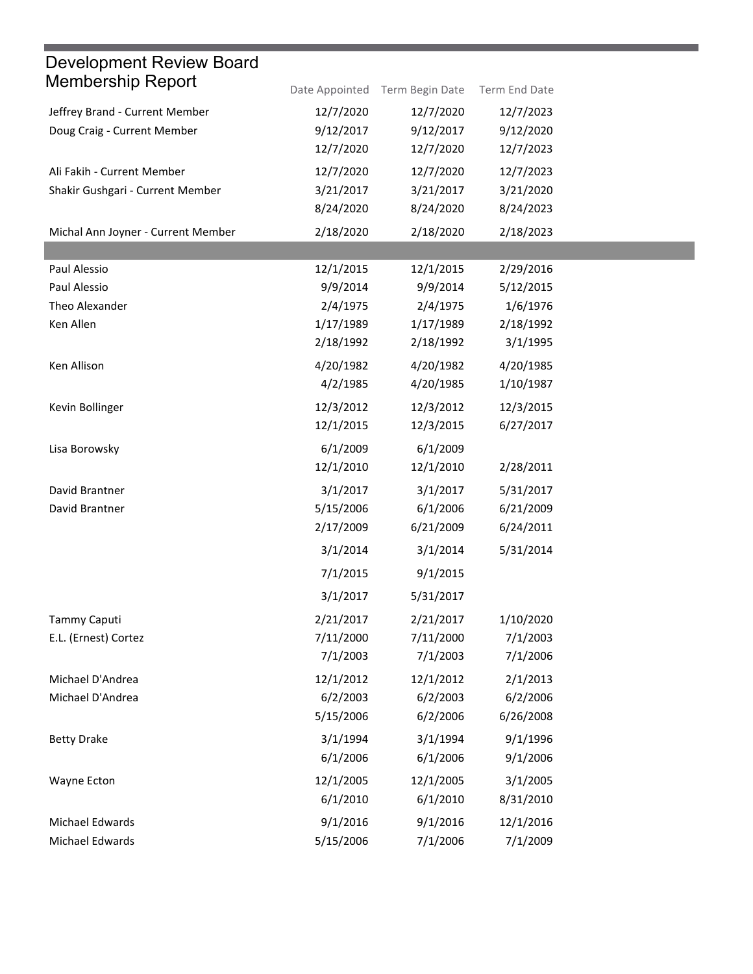| Date Appointed | Term Begin Date                                                                      | Term End Date                                                                       |                                                                                     |
|----------------|--------------------------------------------------------------------------------------|-------------------------------------------------------------------------------------|-------------------------------------------------------------------------------------|
| 12/7/2020      | 12/7/2020                                                                            | 12/7/2023                                                                           |                                                                                     |
| 9/12/2017      | 9/12/2017                                                                            | 9/12/2020                                                                           |                                                                                     |
| 12/7/2020      | 12/7/2020                                                                            | 12/7/2023                                                                           |                                                                                     |
| 12/7/2020      | 12/7/2020                                                                            | 12/7/2023                                                                           |                                                                                     |
| 3/21/2017      | 3/21/2017                                                                            | 3/21/2020                                                                           |                                                                                     |
| 8/24/2020      | 8/24/2020                                                                            | 8/24/2023                                                                           |                                                                                     |
| 2/18/2020      | 2/18/2020                                                                            | 2/18/2023                                                                           |                                                                                     |
|                |                                                                                      |                                                                                     |                                                                                     |
| 12/1/2015      | 12/1/2015                                                                            | 2/29/2016                                                                           |                                                                                     |
|                |                                                                                      |                                                                                     |                                                                                     |
|                |                                                                                      |                                                                                     |                                                                                     |
|                |                                                                                      |                                                                                     |                                                                                     |
|                |                                                                                      |                                                                                     |                                                                                     |
| 4/20/1982      | 4/20/1982                                                                            | 4/20/1985                                                                           |                                                                                     |
| 4/2/1985       | 4/20/1985                                                                            | 1/10/1987                                                                           |                                                                                     |
| 12/3/2012      | 12/3/2012                                                                            | 12/3/2015                                                                           |                                                                                     |
| 12/1/2015      | 12/3/2015                                                                            | 6/27/2017                                                                           |                                                                                     |
| 6/1/2009       | 6/1/2009                                                                             |                                                                                     |                                                                                     |
| 12/1/2010      | 12/1/2010                                                                            | 2/28/2011                                                                           |                                                                                     |
| 3/1/2017       | 3/1/2017                                                                             | 5/31/2017                                                                           |                                                                                     |
| 5/15/2006      | 6/1/2006                                                                             | 6/21/2009                                                                           |                                                                                     |
| 2/17/2009      | 6/21/2009                                                                            | 6/24/2011                                                                           |                                                                                     |
| 3/1/2014       | 3/1/2014                                                                             | 5/31/2014                                                                           |                                                                                     |
| 7/1/2015       | 9/1/2015                                                                             |                                                                                     |                                                                                     |
| 3/1/2017       | 5/31/2017                                                                            |                                                                                     |                                                                                     |
| 2/21/2017      | 2/21/2017                                                                            | 1/10/2020                                                                           |                                                                                     |
| 7/11/2000      | 7/11/2000                                                                            | 7/1/2003                                                                            |                                                                                     |
| 7/1/2003       | 7/1/2003                                                                             | 7/1/2006                                                                            |                                                                                     |
| 12/1/2012      | 12/1/2012                                                                            | 2/1/2013                                                                            |                                                                                     |
| 6/2/2003       | 6/2/2003                                                                             | 6/2/2006                                                                            |                                                                                     |
| 5/15/2006      | 6/2/2006                                                                             | 6/26/2008                                                                           |                                                                                     |
| 3/1/1994       | 3/1/1994                                                                             | 9/1/1996                                                                            |                                                                                     |
| 6/1/2006       | 6/1/2006                                                                             | 9/1/2006                                                                            |                                                                                     |
|                |                                                                                      |                                                                                     |                                                                                     |
| 6/1/2010       | 6/1/2010                                                                             | 8/31/2010                                                                           |                                                                                     |
|                |                                                                                      |                                                                                     |                                                                                     |
|                |                                                                                      |                                                                                     |                                                                                     |
|                | 9/9/2014<br>2/4/1975<br>1/17/1989<br>2/18/1992<br>12/1/2005<br>9/1/2016<br>5/15/2006 | 9/9/2014<br>2/4/1975<br>1/17/1989<br>2/18/1992<br>12/1/2005<br>9/1/2016<br>7/1/2006 | 5/12/2015<br>1/6/1976<br>2/18/1992<br>3/1/1995<br>3/1/2005<br>12/1/2016<br>7/1/2009 |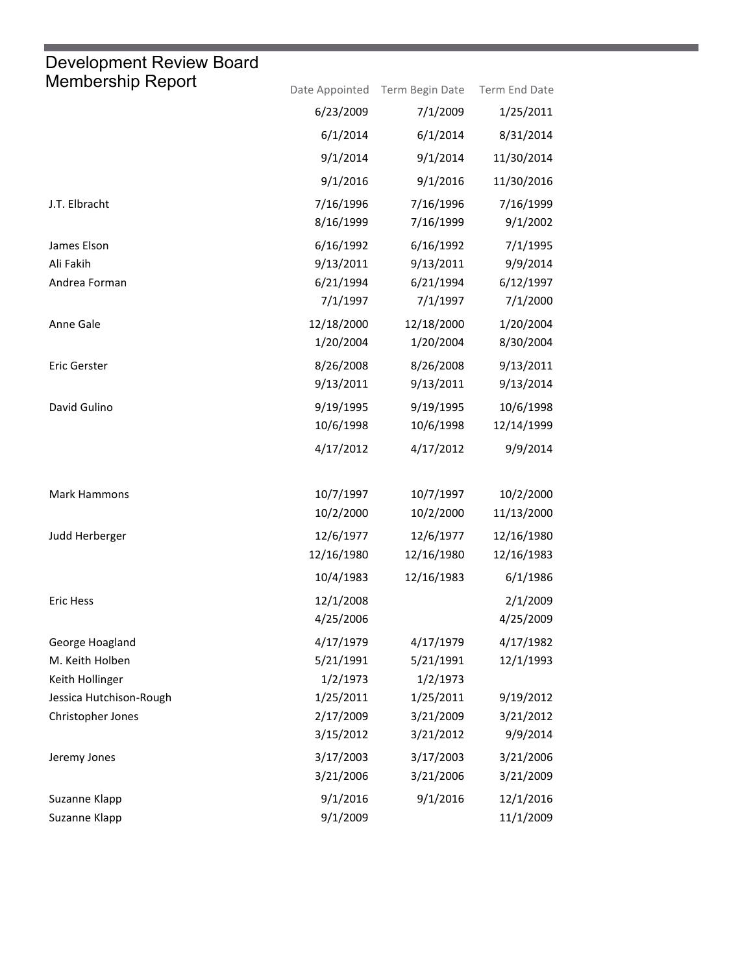## Development Review Board

| <b>Membership Report</b> |                        | Date Appointed Term Begin Date | Term End Date         |
|--------------------------|------------------------|--------------------------------|-----------------------|
|                          | 6/23/2009              | 7/1/2009                       | 1/25/2011             |
|                          | 6/1/2014               | 6/1/2014                       | 8/31/2014             |
|                          | 9/1/2014               | 9/1/2014                       | 11/30/2014            |
|                          | 9/1/2016               | 9/1/2016                       | 11/30/2016            |
| J.T. Elbracht            | 7/16/1996<br>8/16/1999 | 7/16/1996<br>7/16/1999         | 7/16/1999<br>9/1/2002 |
| James Elson              | 6/16/1992              | 6/16/1992                      | 7/1/1995              |
| Ali Fakih                | 9/13/2011              | 9/13/2011                      | 9/9/2014              |
| Andrea Forman            | 6/21/1994              | 6/21/1994                      | 6/12/1997             |
|                          | 7/1/1997               | 7/1/1997                       | 7/1/2000              |
| Anne Gale                | 12/18/2000             | 12/18/2000                     | 1/20/2004             |
|                          | 1/20/2004              | 1/20/2004                      | 8/30/2004             |
| <b>Eric Gerster</b>      | 8/26/2008              | 8/26/2008                      | 9/13/2011             |
|                          | 9/13/2011              | 9/13/2011                      | 9/13/2014             |
| David Gulino             | 9/19/1995              | 9/19/1995                      | 10/6/1998             |
|                          | 10/6/1998              | 10/6/1998                      | 12/14/1999            |
|                          | 4/17/2012              | 4/17/2012                      | 9/9/2014              |
| Mark Hammons             | 10/7/1997              | 10/7/1997                      | 10/2/2000             |
|                          | 10/2/2000              | 10/2/2000                      | 11/13/2000            |
| Judd Herberger           | 12/6/1977              | 12/6/1977                      | 12/16/1980            |
|                          | 12/16/1980             | 12/16/1980                     | 12/16/1983            |
|                          | 10/4/1983              | 12/16/1983                     | 6/1/1986              |
| <b>Eric Hess</b>         | 12/1/2008              |                                | 2/1/2009              |
|                          | 4/25/2006              |                                | 4/25/2009             |
| George Hoagland          | 4/17/1979              | 4/17/1979                      | 4/17/1982             |
| M. Keith Holben          | 5/21/1991              | 5/21/1991                      | 12/1/1993             |
| Keith Hollinger          | 1/2/1973               | 1/2/1973                       |                       |
| Jessica Hutchison-Rough  | 1/25/2011              | 1/25/2011                      | 9/19/2012             |
| Christopher Jones        | 2/17/2009              | 3/21/2009                      | 3/21/2012             |
|                          | 3/15/2012              | 3/21/2012                      | 9/9/2014              |
| Jeremy Jones             | 3/17/2003              | 3/17/2003                      | 3/21/2006             |
|                          | 3/21/2006              | 3/21/2006                      | 3/21/2009             |
| Suzanne Klapp            | 9/1/2016               | 9/1/2016                       | 12/1/2016             |
| Suzanne Klapp            | 9/1/2009               |                                | 11/1/2009             |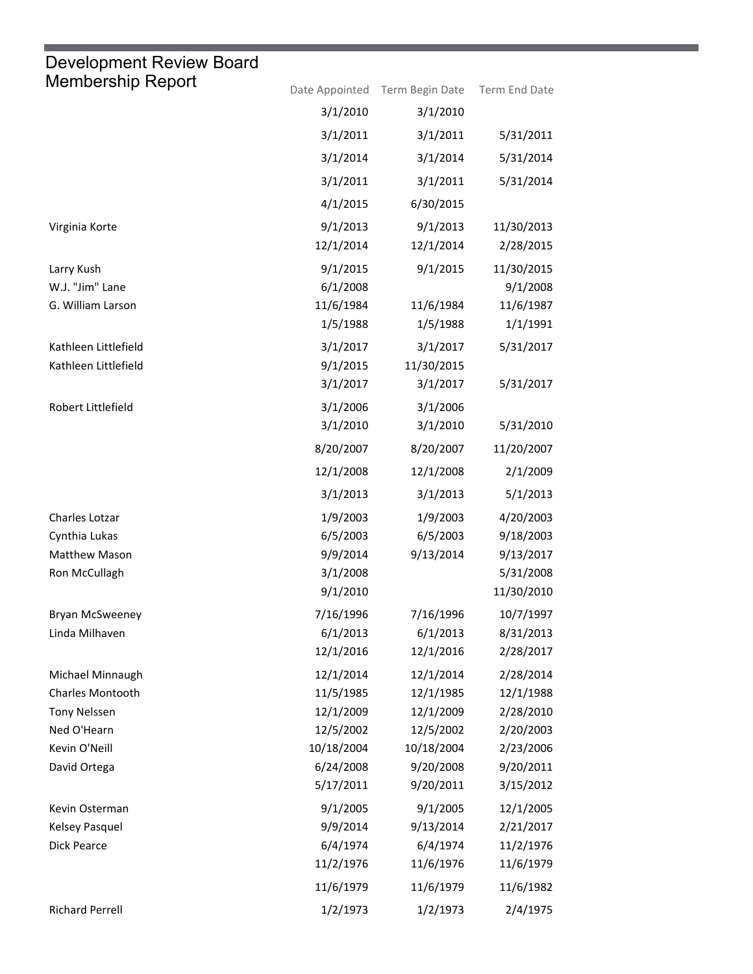## Membership Report Date Appointed Term Begin Date Term End Date Development Review Board 3/1/2010 3/1/2010 3/1/2011 3/1/2011 5/31/2011 3/1/2014 3/1/2014 5/31/2014 3/1/2011 3/1/2011 5/31/2014 4/1/2015 6/30/2015 Virginia Korte 9/1/2013 9/1/2013 11/30/2013 12/1/2014 12/1/2014 2/28/2015 Larry Kush 9/1/2015 9/1/2015 11/30/2015 W.J. "Jim" Lane 6/1/2008 9/1/2008 G. William Larson 11/6/1984 11/6/1984 11/6/1987 1/5/1988 1/5/1988 1/1/1991 Kathleen Littlefield 3/1/2017 3/1/2017 5/31/2017 Kathleen Littlefield 8/1/2015 11/30/2015 3/1/2017 3/1/2017 5/31/2017 Robert Littlefield 3/1/2006 3/1/2006 3/1/2010 3/1/2010 5/31/2010 8/20/2007 8/20/2007 11/20/2007 12/1/2008 12/1/2008 2/1/2009 3/1/2013 3/1/2013 5/1/2013 Charles Lotzar 1/9/2003 1/9/2003 4/20/2003 Cynthia Lukas 6/5/2003 6/5/2003 9/18/2003 Matthew Mason 9/9/2014 9/13/2014 9/13/2017 Ron McCullagh 3/1/2008 5/31/2008 9/1/2010 11/30/2010 Bryan McSweeney 7/16/1996 7/16/1996 10/7/1997 Linda Milhaven 6/1/2013 6/1/2013 8/31/2013 12/1/2016 12/1/2016 2/28/2017 Michael Minnaugh 12/1/2014 12/1/2014 2/28/2014 Charles Montooth 11/5/1985 12/1/1985 12/1/1988 Tony Nelssen 12/1/2009 12/1/2009 2/28/2010 Ned O'Hearn 12/5/2002 12/5/2002 2/20/2003 Kevin O'Neill 10/18/2004 10/18/2004 2/23/2006 David Ortega 6/24/2008 9/20/2008 9/20/2011 5/17/2011 9/20/2011 3/15/2012 Kevin Osterman 9/1/2005 9/1/2005 12/1/2005 Kelsey Pasquel 9/9/2014 9/13/2014 2/21/2017 Dick Pearce 6/4/1974 6/4/1974 11/2/1976 11/2/1976 11/6/1976 11/6/1979 11/6/1979 11/6/1979 11/6/1982 Richard Perrell 1/2/1973 1/2/1973 2/4/1975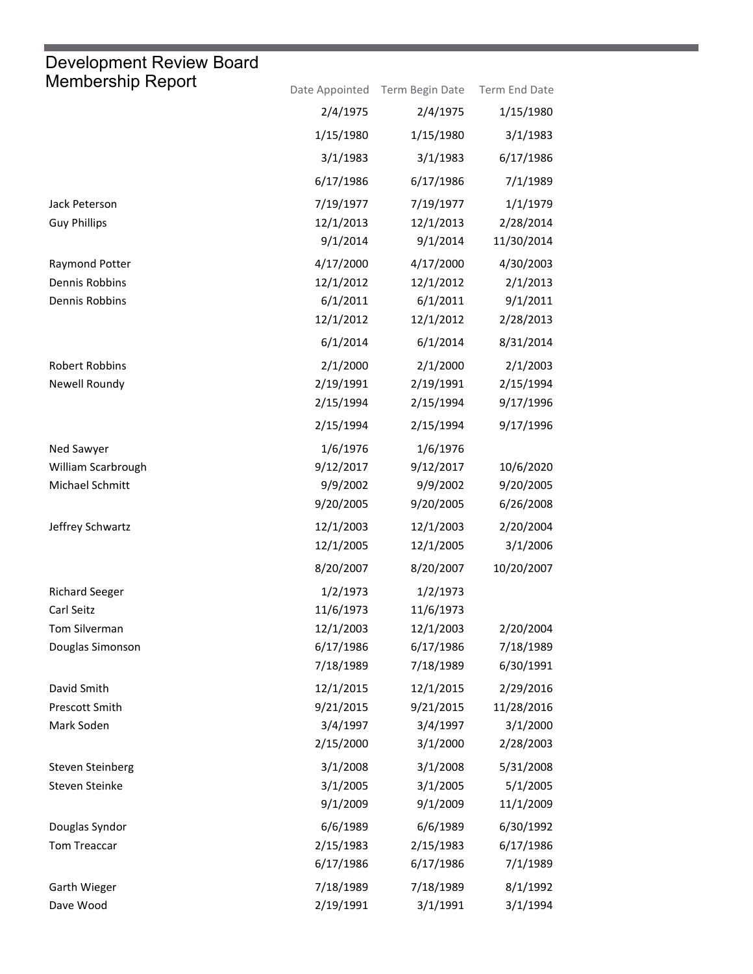# Development Review Board

| Membership Report       |           | Date Appointed Term Begin Date | Term End Date |
|-------------------------|-----------|--------------------------------|---------------|
|                         | 2/4/1975  | 2/4/1975                       | 1/15/1980     |
|                         | 1/15/1980 | 1/15/1980                      | 3/1/1983      |
|                         | 3/1/1983  | 3/1/1983                       | 6/17/1986     |
|                         | 6/17/1986 | 6/17/1986                      | 7/1/1989      |
| Jack Peterson           | 7/19/1977 | 7/19/1977                      | 1/1/1979      |
| <b>Guy Phillips</b>     | 12/1/2013 | 12/1/2013                      | 2/28/2014     |
|                         | 9/1/2014  | 9/1/2014                       | 11/30/2014    |
| Raymond Potter          | 4/17/2000 | 4/17/2000                      | 4/30/2003     |
| Dennis Robbins          | 12/1/2012 | 12/1/2012                      | 2/1/2013      |
| Dennis Robbins          | 6/1/2011  | 6/1/2011                       | 9/1/2011      |
|                         | 12/1/2012 | 12/1/2012                      | 2/28/2013     |
|                         | 6/1/2014  | 6/1/2014                       | 8/31/2014     |
| <b>Robert Robbins</b>   | 2/1/2000  | 2/1/2000                       | 2/1/2003      |
| Newell Roundy           | 2/19/1991 | 2/19/1991                      | 2/15/1994     |
|                         | 2/15/1994 | 2/15/1994                      | 9/17/1996     |
|                         | 2/15/1994 | 2/15/1994                      | 9/17/1996     |
| Ned Sawyer              | 1/6/1976  | 1/6/1976                       |               |
| William Scarbrough      | 9/12/2017 | 9/12/2017                      | 10/6/2020     |
| Michael Schmitt         | 9/9/2002  | 9/9/2002                       | 9/20/2005     |
|                         | 9/20/2005 | 9/20/2005                      | 6/26/2008     |
| Jeffrey Schwartz        | 12/1/2003 | 12/1/2003                      | 2/20/2004     |
|                         | 12/1/2005 | 12/1/2005                      | 3/1/2006      |
|                         | 8/20/2007 | 8/20/2007                      | 10/20/2007    |
| <b>Richard Seeger</b>   | 1/2/1973  | 1/2/1973                       |               |
| Carl Seitz              | 11/6/1973 | 11/6/1973                      |               |
| Tom Silverman           | 12/1/2003 | 12/1/2003                      | 2/20/2004     |
| Douglas Simonson        | 6/17/1986 | 6/17/1986                      | 7/18/1989     |
|                         | 7/18/1989 | 7/18/1989                      | 6/30/1991     |
| David Smith             | 12/1/2015 | 12/1/2015                      | 2/29/2016     |
| Prescott Smith          | 9/21/2015 | 9/21/2015                      | 11/28/2016    |
| Mark Soden              | 3/4/1997  | 3/4/1997                       | 3/1/2000      |
|                         | 2/15/2000 | 3/1/2000                       | 2/28/2003     |
| <b>Steven Steinberg</b> | 3/1/2008  | 3/1/2008                       | 5/31/2008     |
| Steven Steinke          | 3/1/2005  | 3/1/2005                       | 5/1/2005      |
|                         | 9/1/2009  | 9/1/2009                       | 11/1/2009     |
| Douglas Syndor          | 6/6/1989  | 6/6/1989                       | 6/30/1992     |
| Tom Treaccar            | 2/15/1983 | 2/15/1983                      | 6/17/1986     |
|                         | 6/17/1986 | 6/17/1986                      | 7/1/1989      |
| Garth Wieger            | 7/18/1989 | 7/18/1989                      | 8/1/1992      |
| Dave Wood               | 2/19/1991 | 3/1/1991                       | 3/1/1994      |